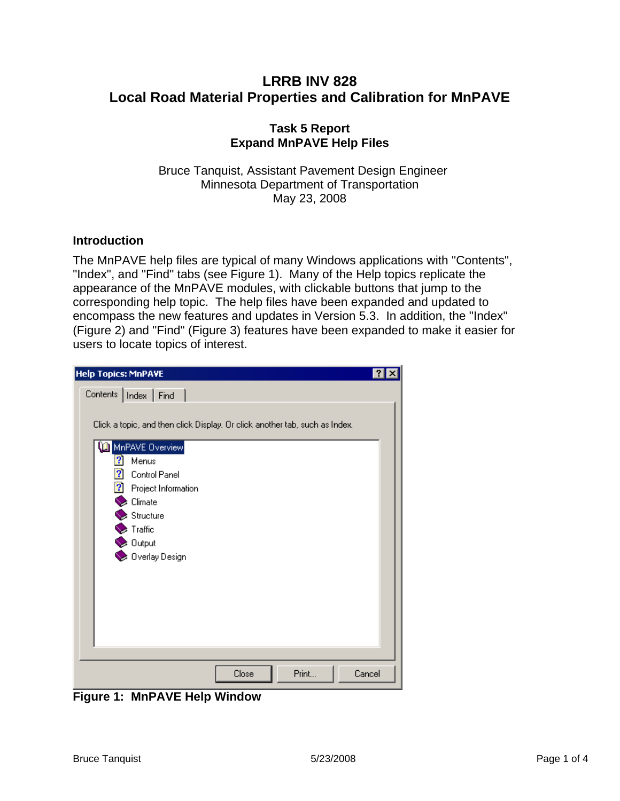## **LRRB INV 828 Local Road Material Properties and Calibration for MnPAVE**

## **Task 5 Report Expand MnPAVE Help Files**

Bruce Tanquist, Assistant Pavement Design Engineer Minnesota Department of Transportation May 23, 2008

## **Introduction**

The MnPAVE help files are typical of many Windows applications with "Contents", "Index", and "Find" tabs (see [Figure 1\)](#page-0-0). Many of the Help topics replicate the appearance of the MnPAVE modules, with clickable buttons that jump to the corresponding help topic. The help files have been expanded and updated to encompass the new features and updates in Version 5.3. In addition, the "Index" ([Figure 2](#page-1-0)) and "Find" ([Figure 3\)](#page-2-0) features have been expanded to make it easier for users to locate topics of interest.

| <b>Help Topics: MnPAVE</b>                                                                                                                      | ?      |
|-------------------------------------------------------------------------------------------------------------------------------------------------|--------|
| Contents   Index   Find                                                                                                                         |        |
| Click a topic, and then click Display. Or click another tab, such as Index.                                                                     |        |
| MnPAVE Overview<br>2<br>Menus<br>2 Control Panel<br>Project Information<br>Climate<br>Structure<br>Traffic<br><b>Q</b> Output<br>Overlay Design |        |
|                                                                                                                                                 |        |
| Print<br>Close                                                                                                                                  | Cancel |

<span id="page-0-0"></span>**Figure 1: MnPAVE Help Window**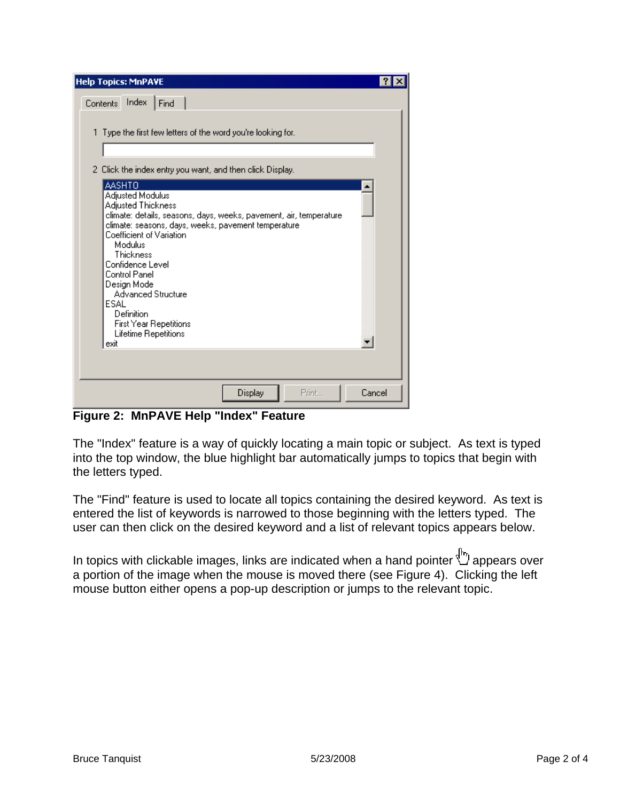| <b>Help Topics: MnPAVE</b>                                                                                                                                                                                                                                                                                        |  |
|-------------------------------------------------------------------------------------------------------------------------------------------------------------------------------------------------------------------------------------------------------------------------------------------------------------------|--|
| Index<br>Contents<br>Find                                                                                                                                                                                                                                                                                         |  |
|                                                                                                                                                                                                                                                                                                                   |  |
| 1 Type the first few letters of the word you're looking for.                                                                                                                                                                                                                                                      |  |
|                                                                                                                                                                                                                                                                                                                   |  |
| 2 Click the index entry you want, and then click Display.<br><b>AASHTO</b>                                                                                                                                                                                                                                        |  |
| Adjusted Modulus<br>Adjusted Thickness<br>climate: details, seasons, days, weeks, pavement, air, temperature.<br>climate: seasons, days, weeks, pavement temperature<br>Coefficient of Variation<br>Modulus<br>Thickness<br>Confidence Level<br>Control Panel<br>Design Mode<br><b>Advanced Structure</b><br>ESAL |  |
| Definition<br>First Year Repetitions<br>Lifetime Repetitions<br>exit                                                                                                                                                                                                                                              |  |
|                                                                                                                                                                                                                                                                                                                   |  |
| Display<br>Print<br>Cancel                                                                                                                                                                                                                                                                                        |  |

<span id="page-1-0"></span>**Figure 2: MnPAVE Help "Index" Feature**

The "Index" feature is a way of quickly locating a main topic or subject. As text is typed into the top window, the blue highlight bar automatically jumps to topics that begin with the letters typed.

The "Find" feature is used to locate all topics containing the desired keyword. As text is entered the list of keywords is narrowed to those beginning with the letters typed. The user can then click on the desired keyword and a list of relevant topics appears below.

In topics with clickable images, links are indicated when a hand pointer  $\mathbb{C}$  appears over a portion of the image when the mouse is moved there (see [Figure 4](#page-3-0)). Clicking the left mouse button either opens a pop-up description or jumps to the relevant topic.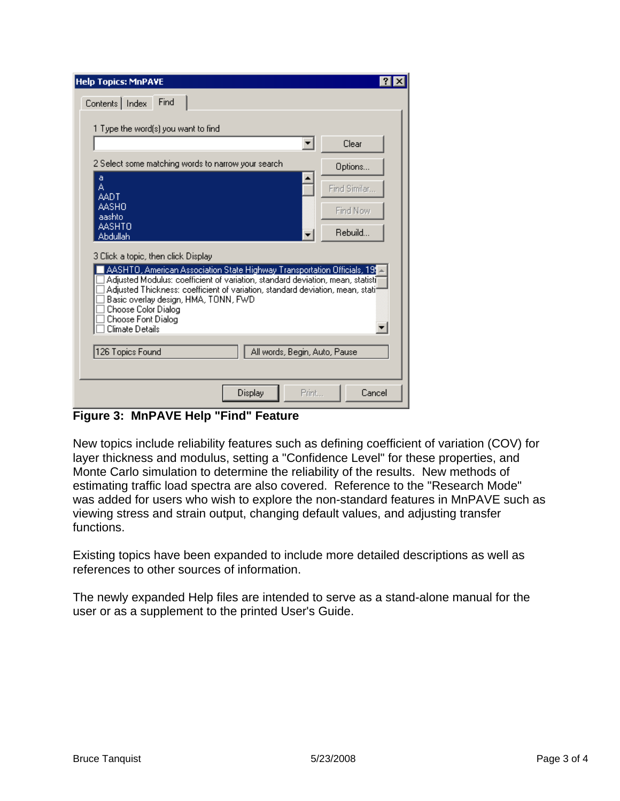| <b>Help Topics: MnPAVE</b>                                                                                                                                  |              |  |  |
|-------------------------------------------------------------------------------------------------------------------------------------------------------------|--------------|--|--|
| Find<br>Contents   Index                                                                                                                                    |              |  |  |
|                                                                                                                                                             |              |  |  |
| 1 Type the word(s) you want to find                                                                                                                         | Clear        |  |  |
|                                                                                                                                                             |              |  |  |
| 2 Select some matching words to narrow your search<br>a                                                                                                     | Options      |  |  |
| A<br>AADT                                                                                                                                                   | Find Similar |  |  |
| AASHO<br>aashto                                                                                                                                             | Find Now     |  |  |
| AASHTO                                                                                                                                                      | Rebuild      |  |  |
| Abdullah                                                                                                                                                    |              |  |  |
| 3 Click a topic, then click Display                                                                                                                         |              |  |  |
| AASHTO, American Association State Highway Transportation Officials, 191<br>Adjusted Modulus: coefficient of variation, standard deviation, mean, statisti] |              |  |  |
| Adjusted Thickness: coefficient of variation, standard deviation, mean, statil<br>Basic overlay design, HMA, TONN, FWD                                      |              |  |  |
| Choose Color Dialog<br>Choose Font Dialog                                                                                                                   |              |  |  |
| Climate Details                                                                                                                                             |              |  |  |
| 126 Topics Found<br>All words, Begin, Auto, Pause                                                                                                           |              |  |  |
|                                                                                                                                                             |              |  |  |
| Display<br>Print                                                                                                                                            | Cancel       |  |  |

<span id="page-2-0"></span>**Figure 3: MnPAVE Help "Find" Feature** 

New topics include reliability features such as defining coefficient of variation (COV) for layer thickness and modulus, setting a "Confidence Level" for these properties, and Monte Carlo simulation to determine the reliability of the results. New methods of estimating traffic load spectra are also covered. Reference to the "Research Mode" was added for users who wish to explore the non-standard features in MnPAVE such as viewing stress and strain output, changing default values, and adjusting transfer functions.

Existing topics have been expanded to include more detailed descriptions as well as references to other sources of information.

The newly expanded Help files are intended to serve as a stand-alone manual for the user or as a supplement to the printed User's Guide.